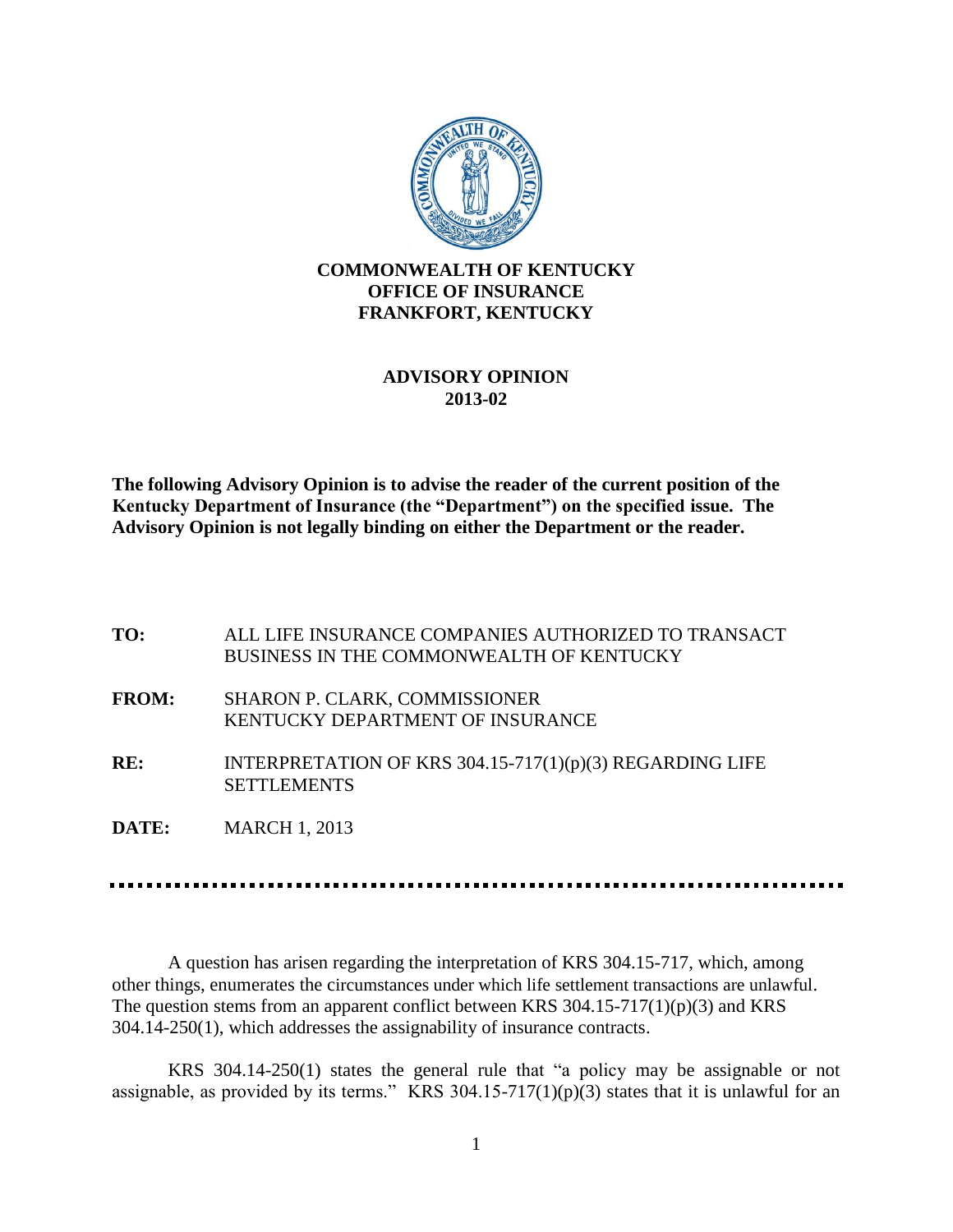

## **ADVISORY OPINION 2013-02**

**The following Advisory Opinion is to advise the reader of the current position of the Kentucky Department of Insurance (the "Department") on the specified issue. The Advisory Opinion is not legally binding on either the Department or the reader.**

| TO:          | ALL LIFE INSURANCE COMPANIES AUTHORIZED TO TRANSACT<br><b>BUSINESS IN THE COMMONWEALTH OF KENTUCKY</b> |
|--------------|--------------------------------------------------------------------------------------------------------|
| <b>FROM:</b> | <b>SHARON P. CLARK, COMMISSIONER</b><br><b>KENTUCKY DEPARTMENT OF INSURANCE</b>                        |
| RE:          | INTERPRETATION OF KRS $304.15-717(1)(p)(3)$ REGARDING LIFE<br><b>SETTLEMENTS</b>                       |
| DATE:        | <b>MARCH 1, 2013</b>                                                                                   |

A question has arisen regarding the interpretation of KRS 304.15-717, which, among other things, enumerates the circumstances under which life settlement transactions are unlawful. The question stems from an apparent conflict between KRS 304.15-717(1)(p)(3) and KRS 304.14-250(1), which addresses the assignability of insurance contracts.

KRS 304.14-250(1) states the general rule that "a policy may be assignable or not assignable, as provided by its terms." KRS 304.15-717(1)(p)(3) states that it is unlawful for an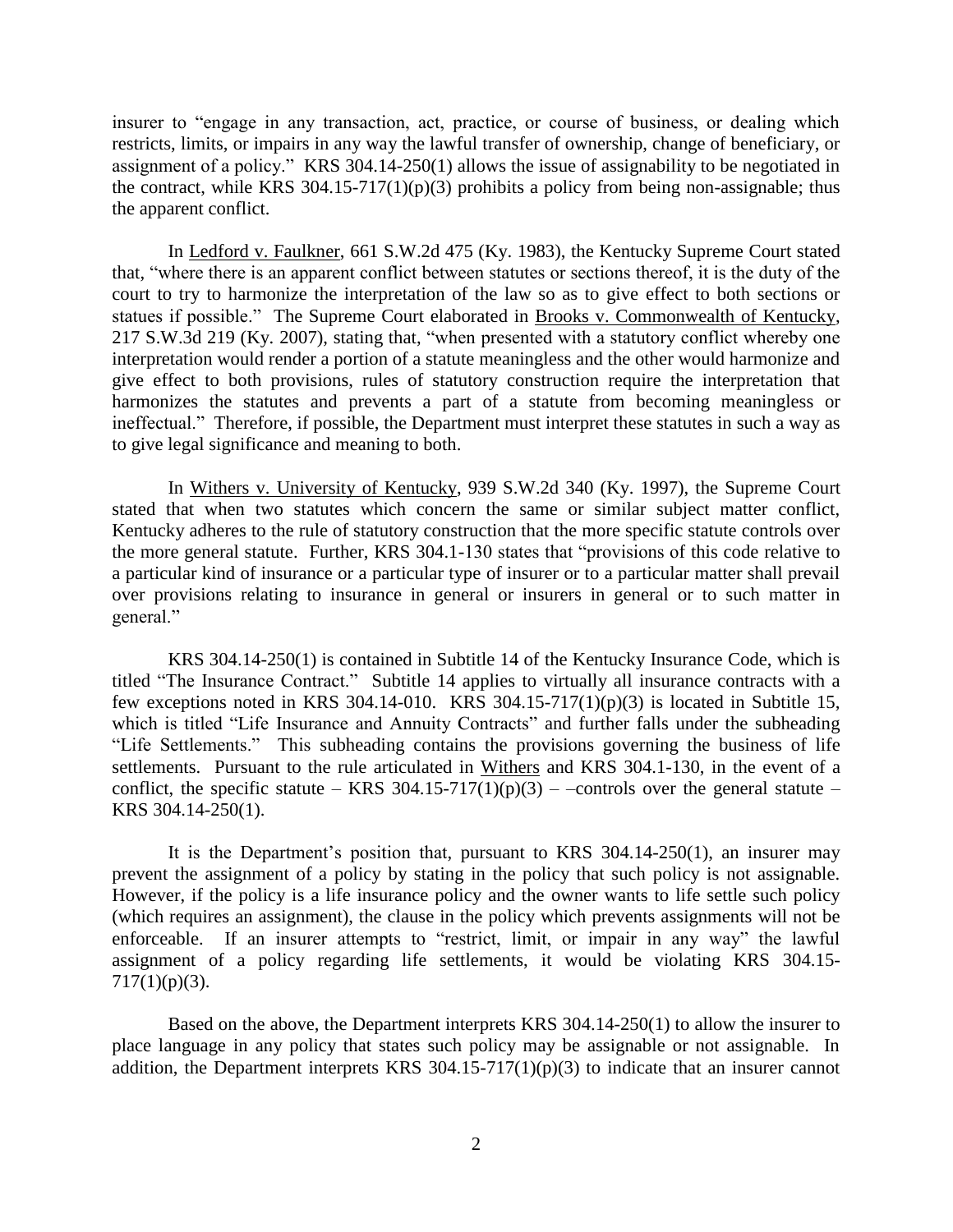insurer to "engage in any transaction, act, practice, or course of business, or dealing which restricts, limits, or impairs in any way the lawful transfer of ownership, change of beneficiary, or assignment of a policy." KRS 304.14-250(1) allows the issue of assignability to be negotiated in the contract, while KRS 304.15-717(1)(p)(3) prohibits a policy from being non-assignable; thus the apparent conflict.

In Ledford v. Faulkner, 661 S.W.2d 475 (Ky. 1983), the Kentucky Supreme Court stated that, "where there is an apparent conflict between statutes or sections thereof, it is the duty of the court to try to harmonize the interpretation of the law so as to give effect to both sections or statues if possible." The Supreme Court elaborated in Brooks v. Commonwealth of Kentucky, 217 S.W.3d 219 (Ky. 2007), stating that, "when presented with a statutory conflict whereby one interpretation would render a portion of a statute meaningless and the other would harmonize and give effect to both provisions, rules of statutory construction require the interpretation that harmonizes the statutes and prevents a part of a statute from becoming meaningless or ineffectual." Therefore, if possible, the Department must interpret these statutes in such a way as to give legal significance and meaning to both.

In Withers v. University of Kentucky, 939 S.W.2d 340 (Ky. 1997), the Supreme Court stated that when two statutes which concern the same or similar subject matter conflict, Kentucky adheres to the rule of statutory construction that the more specific statute controls over the more general statute. Further, KRS 304.1-130 states that "provisions of this code relative to a particular kind of insurance or a particular type of insurer or to a particular matter shall prevail over provisions relating to insurance in general or insurers in general or to such matter in general."

KRS 304.14-250(1) is contained in Subtitle 14 of the Kentucky Insurance Code, which is titled "The Insurance Contract." Subtitle 14 applies to virtually all insurance contracts with a few exceptions noted in KRS 304.14-010. KRS 304.15-717(1)(p)(3) is located in Subtitle 15, which is titled "Life Insurance and Annuity Contracts" and further falls under the subheading "Life Settlements." This subheading contains the provisions governing the business of life settlements. Pursuant to the rule articulated in Withers and KRS 304.1-130, in the event of a conflict, the specific statute – KRS 304.15-717(1)(p)(3) – –controls over the general statute – KRS 304.14-250(1).

It is the Department's position that, pursuant to KRS  $304.14-250(1)$ , an insurer may prevent the assignment of a policy by stating in the policy that such policy is not assignable. However, if the policy is a life insurance policy and the owner wants to life settle such policy (which requires an assignment), the clause in the policy which prevents assignments will not be enforceable. If an insurer attempts to "restrict, limit, or impair in any way" the lawful assignment of a policy regarding life settlements, it would be violating KRS 304.15-  $717(1)(p)(3)$ .

Based on the above, the Department interprets KRS 304.14-250(1) to allow the insurer to place language in any policy that states such policy may be assignable or not assignable. In addition, the Department interprets KRS 304.15-717(1)(p)(3) to indicate that an insurer cannot